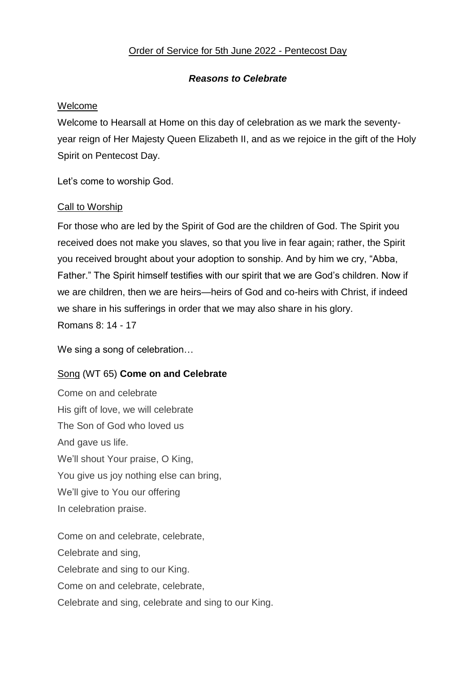### Order of Service for 5th June 2022 - Pentecost Day

### *Reasons to Celebrate*

### Welcome

Welcome to Hearsall at Home on this day of celebration as we mark the seventyyear reign of Her Majesty Queen Elizabeth II, and as we rejoice in the gift of the Holy Spirit on Pentecost Day.

Let's come to worship God.

### Call to Worship

For those who are led by the Spirit of God are the children of God. The Spirit you received does not make you slaves, so that you live in fear again; rather, the Spirit you received brought about your adoption to sonship. And by him we cry, "Abba, Father." The Spirit himself testifies with our spirit that we are God's children. Now if we are children, then we are heirs—heirs of God and co-heirs with Christ, if indeed we share in his sufferings in order that we may also share in his glory. Romans 8: 14 - 17

We sing a song of celebration...

# Song (WT 65) **Come on and Celebrate**

Come on and celebrate His gift of love, we will celebrate The Son of God who loved us And gave us life. We'll shout Your praise, O King, You give us joy nothing else can bring, We'll give to You our offering In celebration praise.

Come on and celebrate, celebrate, Celebrate and sing, Celebrate and sing to our King. Come on and celebrate, celebrate, Celebrate and sing, celebrate and sing to our King.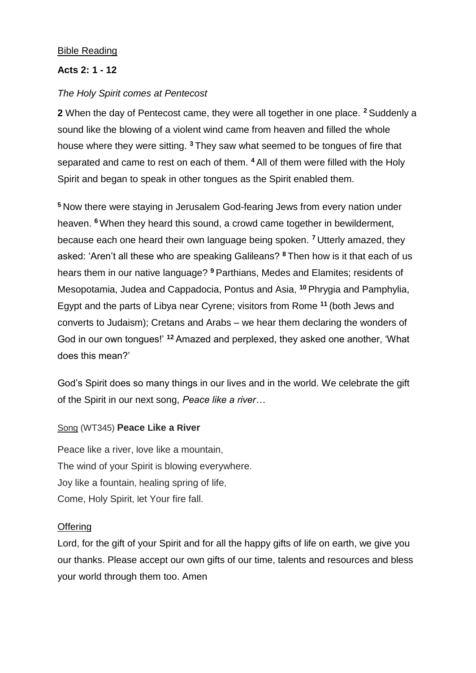### Bible Reading

### **Acts 2: 1 - 12**

### *The Holy Spirit comes at Pentecost*

**2** When the day of Pentecost came, they were all together in one place. **<sup>2</sup>** Suddenly a sound like the blowing of a violent wind came from heaven and filled the whole house where they were sitting. **<sup>3</sup>** They saw what seemed to be tongues of fire that separated and came to rest on each of them. **<sup>4</sup>** All of them were filled with the Holy Spirit and began to speak in other tongues as the Spirit enabled them.

**<sup>5</sup>** Now there were staying in Jerusalem God-fearing Jews from every nation under heaven. **<sup>6</sup>** When they heard this sound, a crowd came together in bewilderment, because each one heard their own language being spoken. **<sup>7</sup>** Utterly amazed, they asked: 'Aren't all these who are speaking Galileans? **<sup>8</sup>** Then how is it that each of us hears them in our native language? **<sup>9</sup>** Parthians, Medes and Elamites; residents of Mesopotamia, Judea and Cappadocia, Pontus and Asia, **<sup>10</sup>** Phrygia and Pamphylia, Egypt and the parts of Libya near Cyrene; visitors from Rome **<sup>11</sup>** (both Jews and converts to Judaism); Cretans and Arabs – we hear them declaring the wonders of God in our own tongues!' **<sup>12</sup>** Amazed and perplexed, they asked one another, 'What does this mean?'

God's Spirit does so many things in our lives and in the world. We celebrate the gift of the Spirit in our next song, *Peace like a river…*

### Song (WT345) **Peace Like a River**

Peace like a river, love like a mountain, The wind of your Spirit is blowing everywhere. Joy like a fountain, healing spring of life, Come, Holy Spirit, let Your fire fall.

### **Offering**

Lord, for the gift of your Spirit and for all the happy gifts of life on earth, we give you our thanks. Please accept our own gifts of our time, talents and resources and bless your world through them too. Amen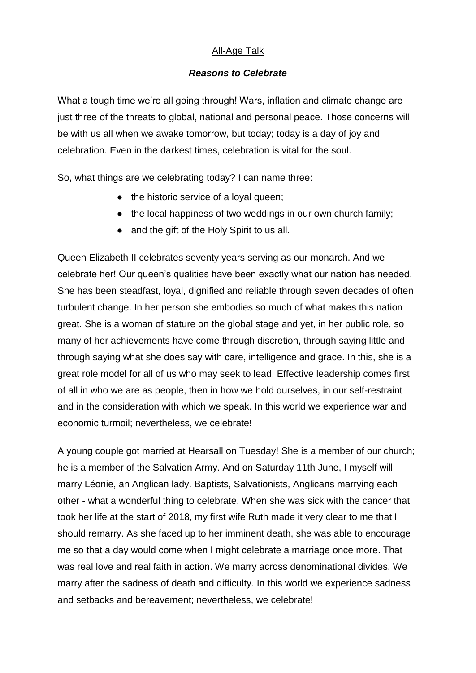# All-Age Talk

# *Reasons to Celebrate*

What a tough time we're all going through! Wars, inflation and climate change are just three of the threats to global, national and personal peace. Those concerns will be with us all when we awake tomorrow, but today; today is a day of joy and celebration. Even in the darkest times, celebration is vital for the soul.

So, what things are we celebrating today? I can name three:

- the historic service of a loyal queen;
- the local happiness of two weddings in our own church family;
- and the gift of the Holy Spirit to us all.

Queen Elizabeth II celebrates seventy years serving as our monarch. And we celebrate her! Our queen's qualities have been exactly what our nation has needed. She has been steadfast, loyal, dignified and reliable through seven decades of often turbulent change. In her person she embodies so much of what makes this nation great. She is a woman of stature on the global stage and yet, in her public role, so many of her achievements have come through discretion, through saying little and through saying what she does say with care, intelligence and grace. In this, she is a great role model for all of us who may seek to lead. Effective leadership comes first of all in who we are as people, then in how we hold ourselves, in our self-restraint and in the consideration with which we speak. In this world we experience war and economic turmoil; nevertheless, we celebrate!

A young couple got married at Hearsall on Tuesday! She is a member of our church; he is a member of the Salvation Army. And on Saturday 11th June, I myself will marry Léonie, an Anglican lady. Baptists, Salvationists, Anglicans marrying each other - what a wonderful thing to celebrate. When she was sick with the cancer that took her life at the start of 2018, my first wife Ruth made it very clear to me that I should remarry. As she faced up to her imminent death, she was able to encourage me so that a day would come when I might celebrate a marriage once more. That was real love and real faith in action. We marry across denominational divides. We marry after the sadness of death and difficulty. In this world we experience sadness and setbacks and bereavement; nevertheless, we celebrate!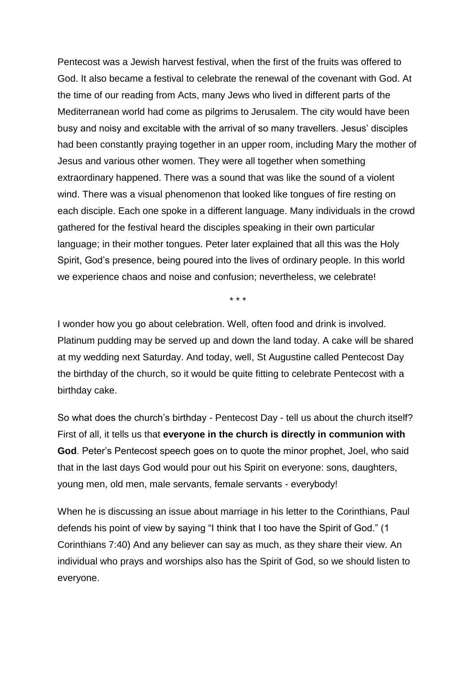Pentecost was a Jewish harvest festival, when the first of the fruits was offered to God. It also became a festival to celebrate the renewal of the covenant with God. At the time of our reading from Acts, many Jews who lived in different parts of the Mediterranean world had come as pilgrims to Jerusalem. The city would have been busy and noisy and excitable with the arrival of so many travellers. Jesus' disciples had been constantly praying together in an upper room, including Mary the mother of Jesus and various other women. They were all together when something extraordinary happened. There was a sound that was like the sound of a violent wind. There was a visual phenomenon that looked like tongues of fire resting on each disciple. Each one spoke in a different language. Many individuals in the crowd gathered for the festival heard the disciples speaking in their own particular language; in their mother tongues. Peter later explained that all this was the Holy Spirit, God's presence, being poured into the lives of ordinary people. In this world we experience chaos and noise and confusion; nevertheless, we celebrate!

\* \* \*

I wonder how you go about celebration. Well, often food and drink is involved. Platinum pudding may be served up and down the land today. A cake will be shared at my wedding next Saturday. And today, well, St Augustine called Pentecost Day the birthday of the church, so it would be quite fitting to celebrate Pentecost with a birthday cake.

So what does the church's birthday - Pentecost Day - tell us about the church itself? First of all, it tells us that **everyone in the church is directly in communion with God**. Peter's Pentecost speech goes on to quote the minor prophet, Joel, who said that in the last days God would pour out his Spirit on everyone: sons, daughters, young men, old men, male servants, female servants - everybody!

When he is discussing an issue about marriage in his letter to the Corinthians, Paul defends his point of view by saying "I think that I too have the Spirit of God." (1 Corinthians 7:40) And any believer can say as much, as they share their view. An individual who prays and worships also has the Spirit of God, so we should listen to everyone.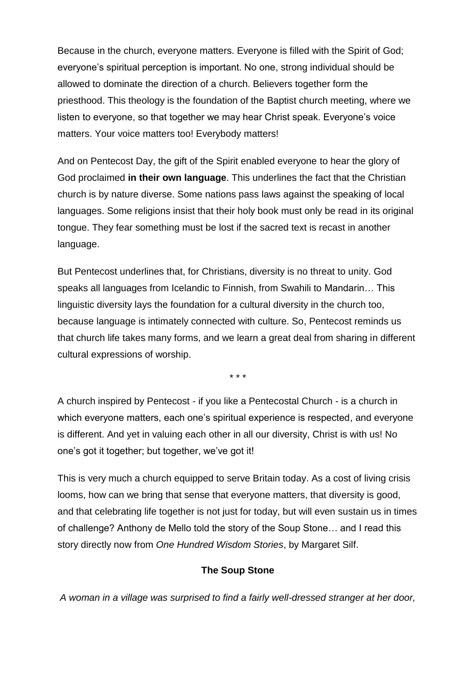Because in the church, everyone matters. Everyone is filled with the Spirit of God; everyone's spiritual perception is important. No one, strong individual should be allowed to dominate the direction of a church. Believers together form the priesthood. This theology is the foundation of the Baptist church meeting, where we listen to everyone, so that together we may hear Christ speak. Everyone's voice matters. Your voice matters too! Everybody matters!

And on Pentecost Day, the gift of the Spirit enabled everyone to hear the glory of God proclaimed **in their own language**. This underlines the fact that the Christian church is by nature diverse. Some nations pass laws against the speaking of local languages. Some religions insist that their holy book must only be read in its original tongue. They fear something must be lost if the sacred text is recast in another language.

But Pentecost underlines that, for Christians, diversity is no threat to unity. God speaks all languages from Icelandic to Finnish, from Swahili to Mandarin… This linguistic diversity lays the foundation for a cultural diversity in the church too, because language is intimately connected with culture. So, Pentecost reminds us that church life takes many forms, and we learn a great deal from sharing in different cultural expressions of worship.

\* \* \*

A church inspired by Pentecost - if you like a Pentecostal Church - is a church in which everyone matters, each one's spiritual experience is respected, and everyone is different. And yet in valuing each other in all our diversity, Christ is with us! No one's got it together; but together, we've got it!

This is very much a church equipped to serve Britain today. As a cost of living crisis looms, how can we bring that sense that everyone matters, that diversity is good, and that celebrating life together is not just for today, but will even sustain us in times of challenge? Anthony de Mello told the story of the Soup Stone… and I read this story directly now from *One Hundred Wisdom Stories*, by Margaret Silf.

### **The Soup Stone**

*A woman in a village was surprised to find a fairly well-dressed stranger at her door,*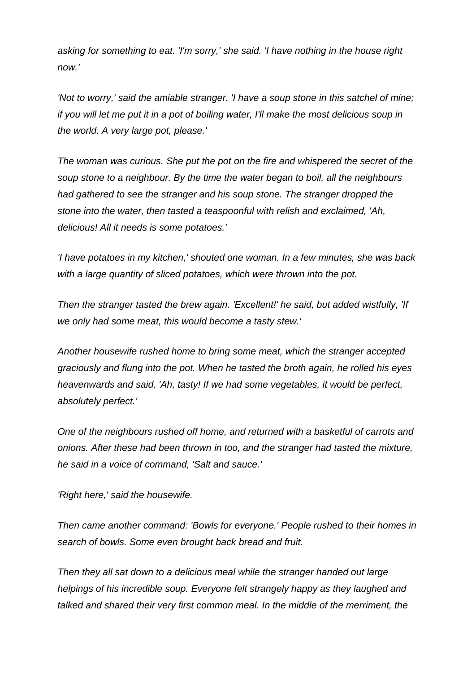*asking for something to eat. 'I'm sorry,' she said. 'I have nothing in the house right now.'*

*'Not to worry,' said the amiable stranger. 'I have a soup stone in this satchel of mine; if you will let me put it in a pot of boiling water, I'll make the most delicious soup in the world. A very large pot, please.'*

*The woman was curious. She put the pot on the fire and whispered the secret of the soup stone to a neighbour. By the time the water began to boil, all the neighbours had gathered to see the stranger and his soup stone. The stranger dropped the stone into the water, then tasted a teaspoonful with relish and exclaimed, 'Ah, delicious! All it needs is some potatoes.'*

*'I have potatoes in my kitchen,' shouted one woman. In a few minutes, she was back with a large quantity of sliced potatoes, which were thrown into the pot.*

*Then the stranger tasted the brew again. 'Excellent!' he said, but added wistfully, 'If we only had some meat, this would become a tasty stew.'*

*Another housewife rushed home to bring some meat, which the stranger accepted graciously and flung into the pot. When he tasted the broth again, he rolled his eyes heavenwards and said, 'Ah, tasty! If we had some vegetables, it would be perfect, absolutely perfect.'*

*One of the neighbours rushed off home, and returned with a basketful of carrots and onions. After these had been thrown in too, and the stranger had tasted the mixture, he said in a voice of command, 'Salt and sauce.'*

*'Right here,' said the housewife.*

*Then came another command: 'Bowls for everyone.' People rushed to their homes in search of bowls. Some even brought back bread and fruit.*

*Then they all sat down to a delicious meal while the stranger handed out large helpings of his incredible soup. Everyone felt strangely happy as they laughed and talked and shared their very first common meal. In the middle of the merriment, the*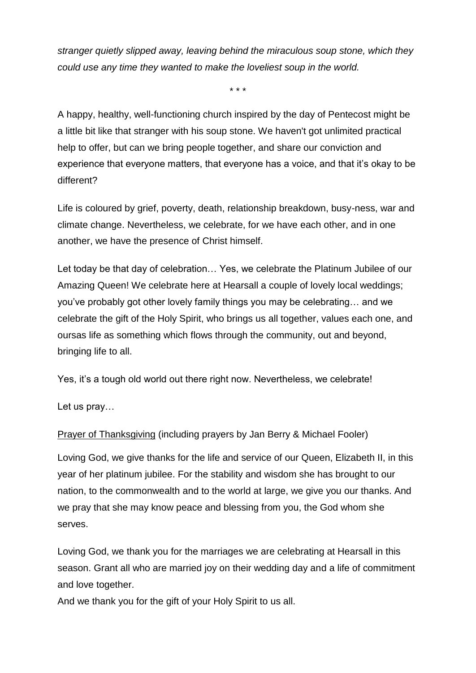*stranger quietly slipped away, leaving behind the miraculous soup stone, which they could use any time they wanted to make the loveliest soup in the world.*

\* \* \*

A happy, healthy, well-functioning church inspired by the day of Pentecost might be a little bit like that stranger with his soup stone. We haven't got unlimited practical help to offer, but can we bring people together, and share our conviction and experience that everyone matters, that everyone has a voice, and that it's okay to be different?

Life is coloured by grief, poverty, death, relationship breakdown, busy-ness, war and climate change. Nevertheless, we celebrate, for we have each other, and in one another, we have the presence of Christ himself.

Let today be that day of celebration… Yes, we celebrate the Platinum Jubilee of our Amazing Queen! We celebrate here at Hearsall a couple of lovely local weddings; you've probably got other lovely family things you may be celebrating… and we celebrate the gift of the Holy Spirit, who brings us all together, values each one, and oursas life as something which flows through the community, out and beyond, bringing life to all.

Yes, it's a tough old world out there right now. Nevertheless, we celebrate!

Let us pray…

Prayer of Thanksgiving (including prayers by Jan Berry & Michael Fooler)

Loving God, we give thanks for the life and service of our Queen, Elizabeth II, in this year of her platinum jubilee. For the stability and wisdom she has brought to our nation, to the commonwealth and to the world at large, we give you our thanks. And we pray that she may know peace and blessing from you, the God whom she serves.

Loving God, we thank you for the marriages we are celebrating at Hearsall in this season. Grant all who are married joy on their wedding day and a life of commitment and love together.

And we thank you for the gift of your Holy Spirit to us all.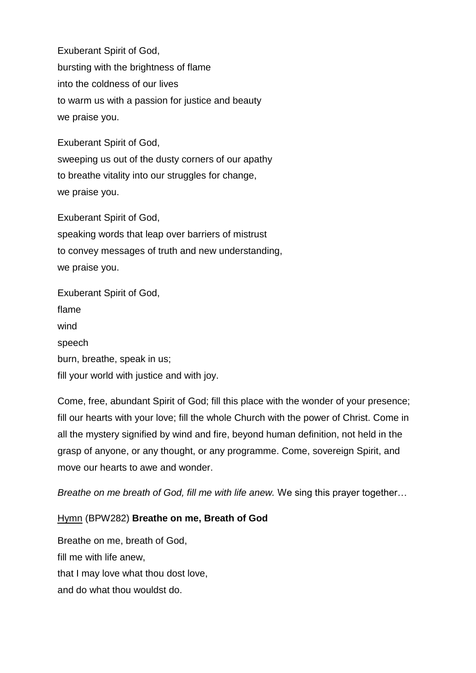Exuberant Spirit of God, bursting with the brightness of flame into the coldness of our lives to warm us with a passion for justice and beauty we praise you.

Exuberant Spirit of God, sweeping us out of the dusty corners of our apathy to breathe vitality into our struggles for change, we praise you.

Exuberant Spirit of God, speaking words that leap over barriers of mistrust to convey messages of truth and new understanding, we praise you.

Exuberant Spirit of God, flame wind speech burn, breathe, speak in us; fill your world with justice and with joy.

Come, free, abundant Spirit of God; fill this place with the wonder of your presence; fill our hearts with your love; fill the whole Church with the power of Christ. Come in all the mystery signified by wind and fire, beyond human definition, not held in the grasp of anyone, or any thought, or any programme. Come, sovereign Spirit, and move our hearts to awe and wonder.

*Breathe on me breath of God, fill me with life anew.* We sing this prayer together…

# Hymn (BPW282) **Breathe on me, Breath of God**

Breathe on me, breath of God, fill me with life anew, that I may love what thou dost love, and do what thou wouldst do.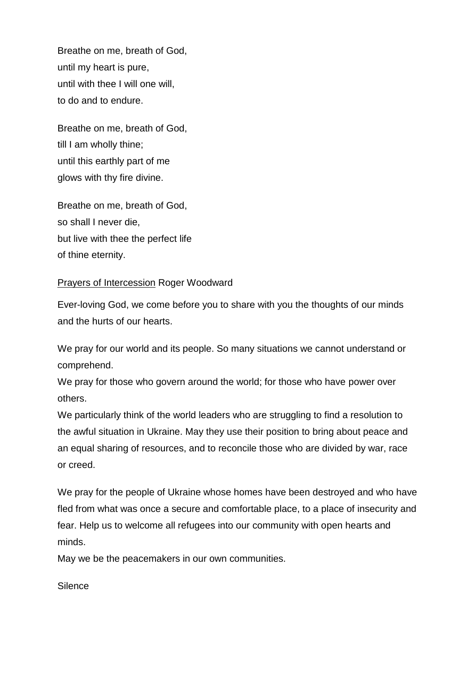Breathe on me, breath of God, until my heart is pure, until with thee I will one will, to do and to endure.

Breathe on me, breath of God, till I am wholly thine; until this earthly part of me glows with thy fire divine.

Breathe on me, breath of God, so shall I never die, but live with thee the perfect life of thine eternity.

### Prayers of Intercession Roger Woodward

Ever-loving God, we come before you to share with you the thoughts of our minds and the hurts of our hearts.

We pray for our world and its people. So many situations we cannot understand or comprehend.

We pray for those who govern around the world; for those who have power over others.

We particularly think of the world leaders who are struggling to find a resolution to the awful situation in Ukraine. May they use their position to bring about peace and an equal sharing of resources, and to reconcile those who are divided by war, race or creed.

We pray for the people of Ukraine whose homes have been destroyed and who have fled from what was once a secure and comfortable place, to a place of insecurity and fear. Help us to welcome all refugees into our community with open hearts and minds.

May we be the peacemakers in our own communities.

**Silence**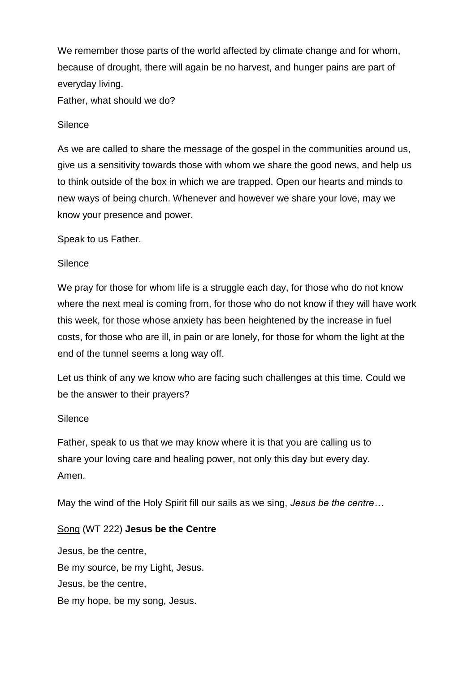We remember those parts of the world affected by climate change and for whom, because of drought, there will again be no harvest, and hunger pains are part of everyday living.

Father, what should we do?

### **Silence**

As we are called to share the message of the gospel in the communities around us, give us a sensitivity towards those with whom we share the good news, and help us to think outside of the box in which we are trapped. Open our hearts and minds to new ways of being church. Whenever and however we share your love, may we know your presence and power.

Speak to us Father.

### **Silence**

We pray for those for whom life is a struggle each day, for those who do not know where the next meal is coming from, for those who do not know if they will have work this week, for those whose anxiety has been heightened by the increase in fuel costs, for those who are ill, in pain or are lonely, for those for whom the light at the end of the tunnel seems a long way off.

Let us think of any we know who are facing such challenges at this time. Could we be the answer to their prayers?

### **Silence**

Father, speak to us that we may know where it is that you are calling us to share your loving care and healing power, not only this day but every day. Amen.

May the wind of the Holy Spirit fill our sails as we sing, *Jesus be the centre…*

# Song (WT 222) **Jesus be the Centre**

Jesus, be the centre, Be my source, be my Light, Jesus. Jesus, be the centre, Be my hope, be my song, Jesus.